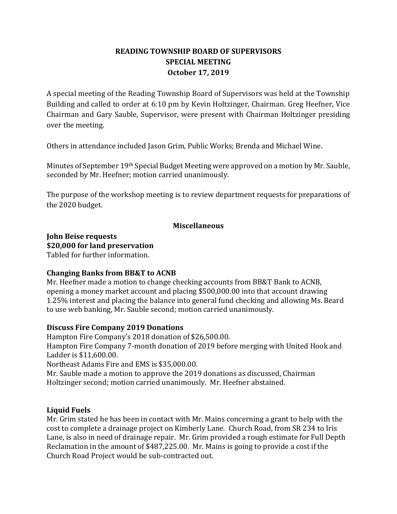# **READING TOWNSHIP BOARD OF SUPERVISORS SPECIAL MEETING October 17, 2019**

A special meeting of the Reading Township Board of Supervisors was held at the Township Building and called to order at 6:10 pm by Kevin Holtzinger, Chairman. Greg Heefner, Vice Chairman and Gary Sauble, Supervisor, were present with Chairman Holtzinger presiding over the meeting.

Others in attendance included Jason Grim, Public Works; Brenda and Michael Wine.

Minutes of September 19th Special Budget Meeting were approved on a motion by Mr. Sauble, seconded by Mr. Heefner; motion carried unanimously.

The purpose of the workshop meeting is to review department requests for preparations of the 2020 budget.

### **Miscellaneous**

**John Beise requests \$20,000 for land preservation** Tabled for further information.

## **Changing Banks from BB&T to ACNB**

Mr. Heefner made a motion to change checking accounts from BB&T Bank to ACNB, opening a money market account and placing \$500,000.00 into that account drawing 1.25% interest and placing the balance into general fund checking and allowing Ms. Beard to use web banking, Mr. Sauble second; motion carried unanimously.

## **Discuss Fire Company 2019 Donations**

Hampton Fire Company's 2018 donation of \$26,500.00. Hampton Fire Company 7-month donation of 2019 before merging with United Hook and Ladder is \$11,600.00. Northeast Adams Fire and EMS is \$35,000.00.

Mr. Sauble made a motion to approve the 2019 donations as discussed, Chairman Holtzinger second; motion carried unanimously. Mr. Heefner abstained.

## **Liquid Fuels**

Mr. Grim stated he has been in contact with Mr. Mains concerning a grant to help with the cost to complete a drainage project on Kimberly Lane. Church Road, from SR 234 to Iris Lane, is also in need of drainage repair. Mr. Grim provided a rough estimate for Full Depth Reclamation in the amount of \$487,225.00. Mr. Mains is going to provide a cost if the Church Road Project would be sub-contracted out.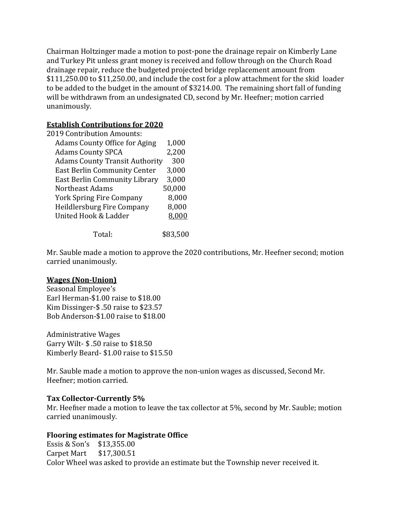Chairman Holtzinger made a motion to post-pone the drainage repair on Kimberly Lane and Turkey Pit unless grant money is received and follow through on the Church Road drainage repair, reduce the budgeted projected bridge replacement amount from \$111,250.00 to \$11,250.00, and include the cost for a plow attachment for the skid loader to be added to the budget in the amount of \$3214.00. The remaining short fall of funding will be withdrawn from an undesignated CD, second by Mr. Heefner; motion carried unanimously.

### **Establish Contributions for 2020**

| 2019 Contribution Amounts:            |        |
|---------------------------------------|--------|
| <b>Adams County Office for Aging</b>  | 1,000  |
| <b>Adams County SPCA</b>              | 2,200  |
| <b>Adams County Transit Authority</b> | 300    |
| <b>East Berlin Community Center</b>   | 3,000  |
| East Berlin Community Library         | 3,000  |
| Northeast Adams                       | 50,000 |
| <b>York Spring Fire Company</b>       | 8,000  |
| Heildlersburg Fire Company            | 8,000  |
| United Hook & Ladder                  |        |
|                                       |        |

Total: \$83,500

Mr. Sauble made a motion to approve the 2020 contributions, Mr. Heefner second; motion carried unanimously.

## **Wages (Non-Union)**

Seasonal Employee's Earl Herman-\$1.00 raise to \$18.00 Kim Dissinger-\$ .50 raise to \$23.57 Bob Anderson-\$1.00 raise to \$18.00

Administrative Wages Garry Wilt- \$ .50 raise to \$18.50 Kimberly Beard- \$1.00 raise to \$15.50

Mr. Sauble made a motion to approve the non-union wages as discussed, Second Mr. Heefner; motion carried.

### **Tax Collector-Currently 5%**

Mr. Heefner made a motion to leave the tax collector at 5%, second by Mr. Sauble; motion carried unanimously.

### **Flooring estimates for Magistrate Office**

Essis & Son's \$13,355.00 Carpet Mart \$17,300.51 Color Wheel was asked to provide an estimate but the Township never received it.